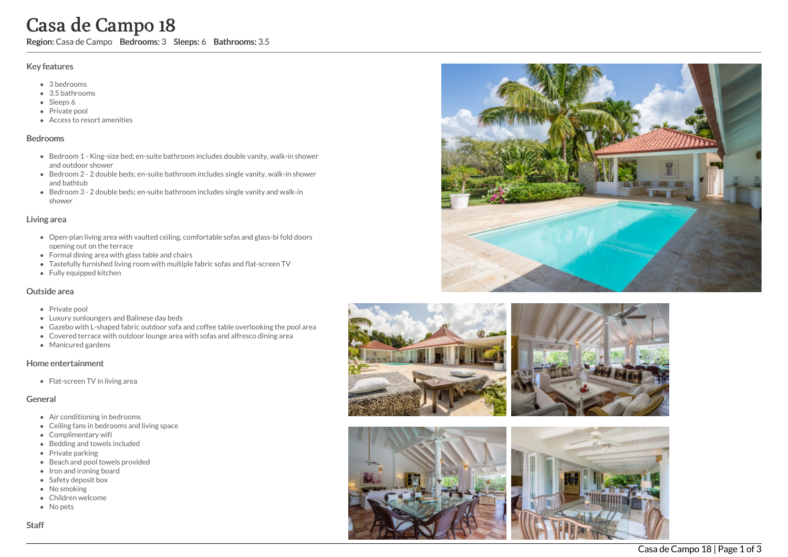# Casa de Campo 18

Region: Casa de Campo Bedrooms: 3 Sleeps: 6 Bathrooms: 3.5

#### Key features

- 3 b e d r o o m s
- 3.5 b a t h r o o m s
- Sleeps 6
- Private pool
- Access to resort amenities

#### **Bedrooms**

- Bedroom 1 King-size bed; en-suite bathroom includes double vanity, walk-in shower a n d o u t d o o r s h o w e r
- Bedroom 2 2 double beds; en-suite bathroom includes single vanity, walk-in shower and bathtub
- Bedroom 3 2 double beds; en-suite bathroom includes single vanity and walk-in s h o w e r

#### Living area

- Open-plan living area with vaulted ceiling, comfortable sofas and glass-bi fold doors opening out on the terrace
- Formal dining area with glass table and chairs
- Tastefully furnished living room with multiple fabric sofas and flat-screen TV
- Fully equipped kitchen

#### Outside area

- Private pool
- Luxury sunloungers and Balinese day beds
- Gazebo with L-shaped fabric outdoor sofa and coffee table overlooking the pool area
- Covered terrace with outdoor lounge area with sofas and alfresco dining area
- Manicured gardens

#### Home entertainment

Flat-screen TV in living area

### General

- Air conditioning in bedrooms
- Ceiling fans in bedrooms and living space
- Complimentary wifi
- Bedding and towels included
- Private parking
- Beach and pool towels provided
- Iron and ironing board
- Safety deposit box
- No smoking
- Children welcome
- No pets





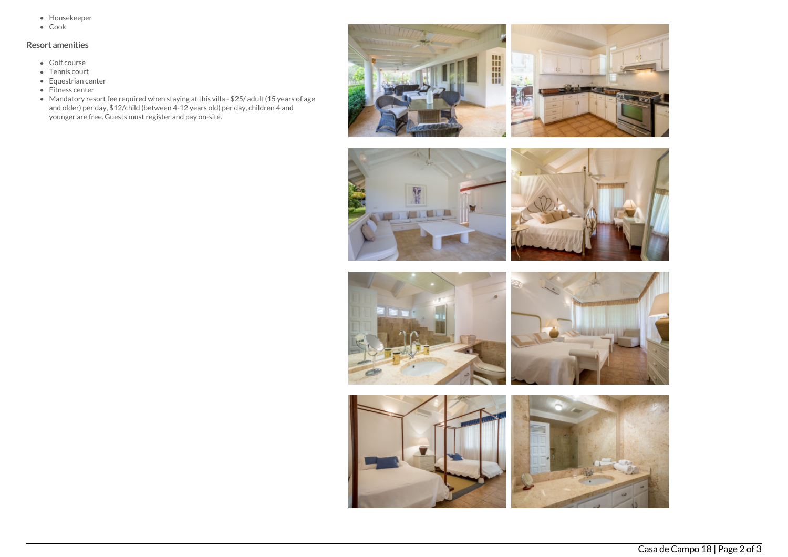- Housekeeper
- Cook

## Resort amenities

- Golf course
- Tennis court
- Equestrian center
- Fitness center
- Mandatory resort fee required when staying at this villa \$25/ adult (15 years of age and older) per day, \$12/child (between 4-12 years old) per day, children 4 and younger are free. Guests must register and pay on-site.